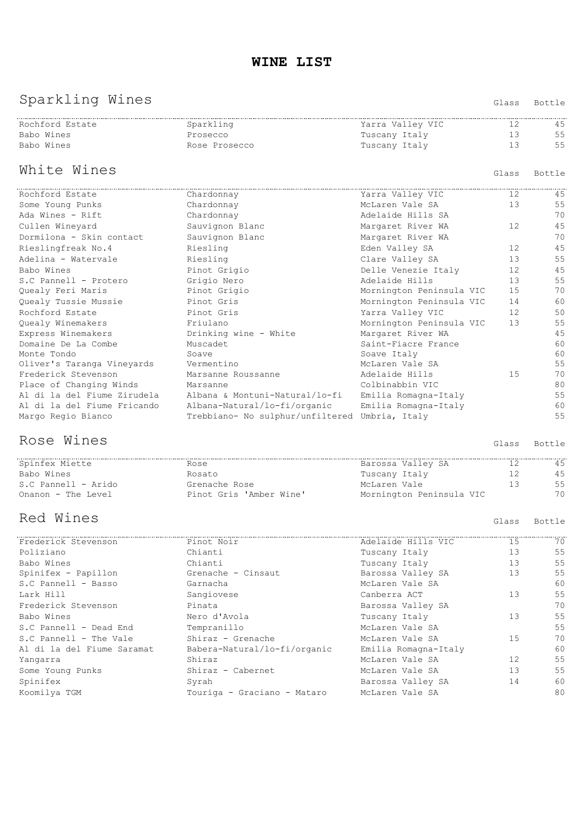# Sparkling Wines Glass Bottle

| Rochford Estate | Sparkling     | Yarra Valley VIC |            |
|-----------------|---------------|------------------|------------|
| Babo Wines      | Prosecco      | Tuscany Italy    | ہا جا<br>◡ |
| Babo Wines      | Rose Prosecco | Tuscany Italy    |            |
|                 |               |                  |            |

# White Wines **Glass** Bottle

| Rochford Estate             | Chardonnay                                                 | Yarra Valley VIC         | 12 | 45 |
|-----------------------------|------------------------------------------------------------|--------------------------|----|----|
| Some Young Punks            | Chardonnay                                                 | McLaren Vale SA          | 13 | 55 |
| Ada Wines - Rift            | Chardonnay                                                 | Adelaide Hills SA        |    | 70 |
| Cullen Wineyard             | Sauvignon Blanc                                            | Margaret River WA        | 12 | 45 |
| Dormilona - Skin contact    | Sauvignon Blanc                                            | Margaret River WA        |    | 70 |
| Rieslingfreak No.4          | Riesling                                                   | Eden Valley SA           | 12 | 45 |
| Adelina - Watervale         | Riesling                                                   | Clare Valley SA          | 13 | 55 |
| Babo Wines                  | Pinot Grigio                                               | Delle Venezie Italy      | 12 | 45 |
| S.C Pannell - Protero       | Grigio Nero                                                | Adelaide Hills           | 13 | 55 |
| Quealy Feri Maris           | Pinot Grigio                                               | Mornington Peninsula VIC | 15 | 70 |
| Quealy Tussie Mussie        | Pinot Gris                                                 | Mornington Peninsula VIC | 14 | 60 |
| Rochford Estate             | Pinot Gris                                                 | Yarra Valley VIC         | 12 | 50 |
| Quealy Winemakers           | Friulano                                                   | Mornington Peninsula VIC | 13 | 55 |
| Express Winemakers          | Drinking wine - White                                      | Margaret River WA        |    | 45 |
| Domaine De La Combe         | Muscadet                                                   | Saint-Fiacre France      |    | 60 |
| Monte Tondo                 | Soave                                                      | Soave Italy              |    | 60 |
| Oliver's Taranga Vineyards  | Vermentino                                                 | McLaren Vale SA          |    | 55 |
| Frederick Stevenson         | Marsanne Roussanne                                         | Adelaide Hills           | 15 | 70 |
| Place of Changing Winds     | Marsanne                                                   | Colbinabbin VIC          |    | 80 |
|                             | Al di la del Fiume Zirudela albana & Montuni-Natural/lo-fi | Emilia Romagna-Italy     |    | 55 |
| Al di la del Fiume Fricando | Albana-Natural/lo-fi/organic                               | Emilia Romagna-Italy     |    | 60 |
| Margo Regio Bianco          | Trebbiano- No sulphur/unfiltered Umbria, Italy             |                          |    | 55 |

#### Rose Wines **Glass** Bottle

| Spinfex Miette      |                         | Barossa Valley SA        |    |
|---------------------|-------------------------|--------------------------|----|
| Babo Wines          | Rosato                  | Tuscany Italy            |    |
| S.C Pannell - Arido | Grenache Rose           | McLaren Vale             | 55 |
| Onanon - The Level  | Pinot Gris 'Amber Wine' | Mornington Peninsula VIC | 70 |

## Red Wines **Glass** Bottle

| Frederick Stevenson        | Pinot Noir                   | Adelaide Hills VIC   | 15 | 70 |
|----------------------------|------------------------------|----------------------|----|----|
| Poliziano                  | Chianti                      | Tuscany Italy        | 13 | 55 |
| Babo Wines                 | Chianti                      | Tuscany Italy        | 13 | 55 |
| Spinifex - Papillon        | Grenache - Cinsaut           | Barossa Valley SA    | 13 | 55 |
| S.C Pannell - Basso        | Garnacha                     | McLaren Vale SA      |    | 60 |
| Lark Hill                  | Sangiovese                   | Canberra ACT         | 13 | 55 |
| Frederick Stevenson        | Pinata                       | Barossa Valley SA    |    | 70 |
| Babo Wines                 | Nero d'Avola                 | Tuscany Italy        | 13 | 55 |
| S.C Pannell - Dead End     | Tempranillo                  | McLaren Vale SA      |    | 55 |
| S.C Pannell - The Vale     | Shiraz - Grenache            | McLaren Vale SA      | 15 | 70 |
| Al di la del Fiume Saramat | Babera-Natural/lo-fi/organic | Emilia Romagna-Italy |    | 60 |
| Yangarra                   | Shiraz                       | McLaren Vale SA      | 12 | 55 |
| Some Young Punks           | Shiraz - Cabernet            | McLaren Vale SA      | 13 | 55 |
| Spinifex                   | Syrah                        | Barossa Valley SA    | 14 | 60 |
| Koomilya TGM               | Touriga - Graciano - Mataro  | McLaren Vale SA      |    | 80 |
|                            |                              |                      |    |    |